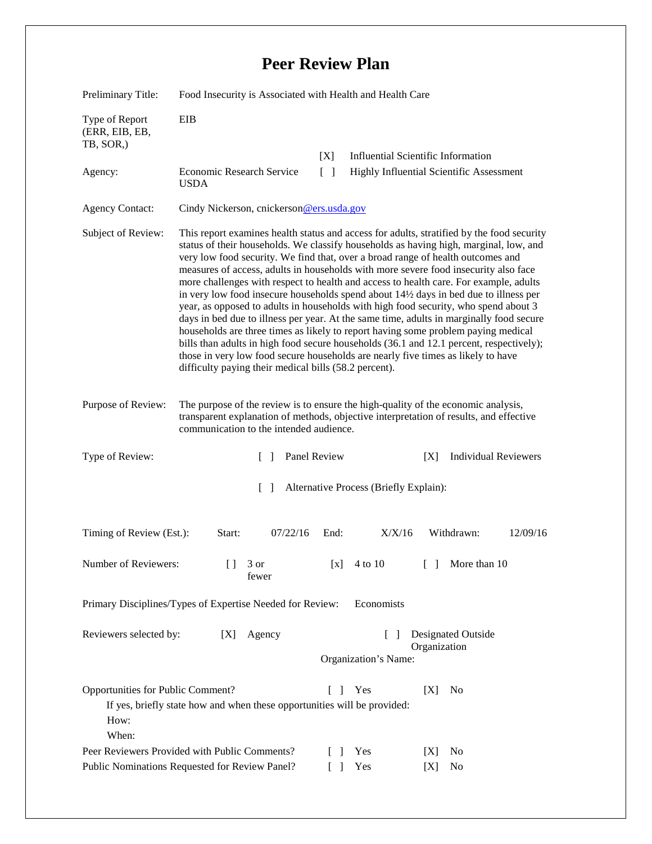## **Peer Review Plan**

| Preliminary Title:                                                                                                                                                   | Food Insecurity is Associated with Health and Health Care                                                                                                                                                                                                                                                                                                                                                                                                                                                                                                                                                                                                                                                                                                                                                                                                                                                                                                                                                                                                   |                                    |                                          |                                           |          |
|----------------------------------------------------------------------------------------------------------------------------------------------------------------------|-------------------------------------------------------------------------------------------------------------------------------------------------------------------------------------------------------------------------------------------------------------------------------------------------------------------------------------------------------------------------------------------------------------------------------------------------------------------------------------------------------------------------------------------------------------------------------------------------------------------------------------------------------------------------------------------------------------------------------------------------------------------------------------------------------------------------------------------------------------------------------------------------------------------------------------------------------------------------------------------------------------------------------------------------------------|------------------------------------|------------------------------------------|-------------------------------------------|----------|
| Type of Report<br>(ERR, EIB, EB,<br>TB, SOR,)                                                                                                                        | EIB                                                                                                                                                                                                                                                                                                                                                                                                                                                                                                                                                                                                                                                                                                                                                                                                                                                                                                                                                                                                                                                         |                                    |                                          |                                           |          |
|                                                                                                                                                                      |                                                                                                                                                                                                                                                                                                                                                                                                                                                                                                                                                                                                                                                                                                                                                                                                                                                                                                                                                                                                                                                             | [X]                                |                                          | <b>Influential Scientific Information</b> |          |
| Agency:                                                                                                                                                              | Economic Research Service<br><b>USDA</b>                                                                                                                                                                                                                                                                                                                                                                                                                                                                                                                                                                                                                                                                                                                                                                                                                                                                                                                                                                                                                    | $\lceil \rceil$                    | Highly Influential Scientific Assessment |                                           |          |
| <b>Agency Contact:</b>                                                                                                                                               | Cindy Nickerson, cnickerson@ers.usda.gov                                                                                                                                                                                                                                                                                                                                                                                                                                                                                                                                                                                                                                                                                                                                                                                                                                                                                                                                                                                                                    |                                    |                                          |                                           |          |
| Subject of Review:                                                                                                                                                   | This report examines health status and access for adults, stratified by the food security<br>status of their households. We classify households as having high, marginal, low, and<br>very low food security. We find that, over a broad range of health outcomes and<br>measures of access, adults in households with more severe food insecurity also face<br>more challenges with respect to health and access to health care. For example, adults<br>in very low food insecure households spend about 14½ days in bed due to illness per<br>year, as opposed to adults in households with high food security, who spend about 3<br>days in bed due to illness per year. At the same time, adults in marginally food secure<br>households are three times as likely to report having some problem paying medical<br>bills than adults in high food secure households (36.1 and 12.1 percent, respectively);<br>those in very low food secure households are nearly five times as likely to have<br>difficulty paying their medical bills (58.2 percent). |                                    |                                          |                                           |          |
| Purpose of Review:                                                                                                                                                   | The purpose of the review is to ensure the high-quality of the economic analysis,<br>transparent explanation of methods, objective interpretation of results, and effective<br>communication to the intended audience.                                                                                                                                                                                                                                                                                                                                                                                                                                                                                                                                                                                                                                                                                                                                                                                                                                      |                                    |                                          |                                           |          |
| Type of Review:                                                                                                                                                      | $\Box$                                                                                                                                                                                                                                                                                                                                                                                                                                                                                                                                                                                                                                                                                                                                                                                                                                                                                                                                                                                                                                                      | Panel Review                       |                                          | <b>Individual Reviewers</b><br>[X]        |          |
| Alternative Process (Briefly Explain):<br>$\Box$                                                                                                                     |                                                                                                                                                                                                                                                                                                                                                                                                                                                                                                                                                                                                                                                                                                                                                                                                                                                                                                                                                                                                                                                             |                                    |                                          |                                           |          |
| Timing of Review (Est.):                                                                                                                                             | Start:<br>07/22/16                                                                                                                                                                                                                                                                                                                                                                                                                                                                                                                                                                                                                                                                                                                                                                                                                                                                                                                                                                                                                                          | End:                               | X/X/16                                   | Withdrawn:                                | 12/09/16 |
| Number of Reviewers:                                                                                                                                                 | $\begin{array}{c} \end{array}$<br>3 or<br>fewer                                                                                                                                                                                                                                                                                                                                                                                                                                                                                                                                                                                                                                                                                                                                                                                                                                                                                                                                                                                                             |                                    | $[x]$ 4 to 10                            | [ ] More than 10                          |          |
| Primary Disciplines/Types of Expertise Needed for Review:<br>Economists                                                                                              |                                                                                                                                                                                                                                                                                                                                                                                                                                                                                                                                                                                                                                                                                                                                                                                                                                                                                                                                                                                                                                                             |                                    |                                          |                                           |          |
| Reviewers selected by:<br>Agency<br>[X]                                                                                                                              |                                                                                                                                                                                                                                                                                                                                                                                                                                                                                                                                                                                                                                                                                                                                                                                                                                                                                                                                                                                                                                                             | Designated Outside<br>Organization |                                          |                                           |          |
|                                                                                                                                                                      |                                                                                                                                                                                                                                                                                                                                                                                                                                                                                                                                                                                                                                                                                                                                                                                                                                                                                                                                                                                                                                                             |                                    | Organization's Name:                     |                                           |          |
| Opportunities for Public Comment?<br>Yes<br>[X]<br>ΓI<br>N <sub>0</sub><br>If yes, briefly state how and when these opportunities will be provided:<br>How:<br>When: |                                                                                                                                                                                                                                                                                                                                                                                                                                                                                                                                                                                                                                                                                                                                                                                                                                                                                                                                                                                                                                                             |                                    |                                          |                                           |          |
| Peer Reviewers Provided with Public Comments?                                                                                                                        |                                                                                                                                                                                                                                                                                                                                                                                                                                                                                                                                                                                                                                                                                                                                                                                                                                                                                                                                                                                                                                                             |                                    | Yes                                      | No<br> X                                  |          |
| Public Nominations Requested for Review Panel?                                                                                                                       |                                                                                                                                                                                                                                                                                                                                                                                                                                                                                                                                                                                                                                                                                                                                                                                                                                                                                                                                                                                                                                                             |                                    | Yes                                      | No<br>[X]                                 |          |